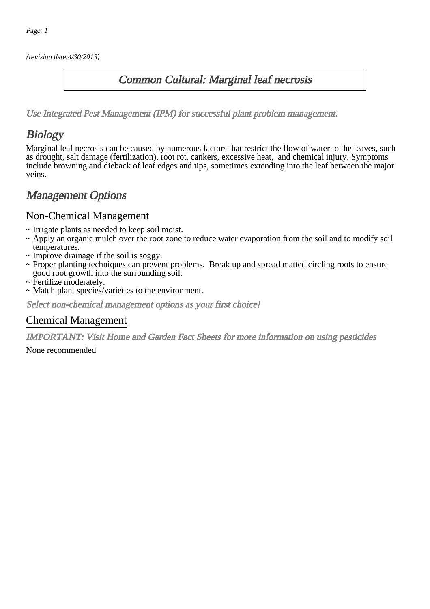(revision date:4/30/2013)

### Common Cultural: Marginal leaf necrosis

[Use Integrated Pest Management \(IPM\) for successful plant problem management.](http://pep.wsu.edu/Home_Garden/H_G_Pesticide_info/urban_Integrated_Pest_Managmen/)

## **Biology**

Marginal leaf necrosis can be caused by numerous factors that restrict the flow of water to the leaves, such as drought, salt damage (fertilization), root rot, cankers, excessive heat, and chemical injury. Symptoms include browning and dieback of leaf edges and tips, sometimes extending into the leaf between the major veins.

## Management Options

#### Non-Chemical Management

- ~ Irrigate plants as needed to keep soil moist.
- ~ Apply an organic mulch over the root zone to reduce water evaporation from the soil and to modify soil temperatures.
- ~ Improve drainage if the soil is soggy.
- ~ Proper planting techniques can prevent problems. Break up and spread matted circling roots to ensure good root growth into the surrounding soil.
- ~ Fertilize moderately.
- ~ Match plant species/varieties to the environment.

Select non-chemical management options as your first choice!

### Chemical Management

IMPORTANT: [Visit Home and Garden Fact Sheets for more information on using pesticides](http://pep.wsu.edu/Home_Garden/H_G_Pesticide_info/)

None recommended